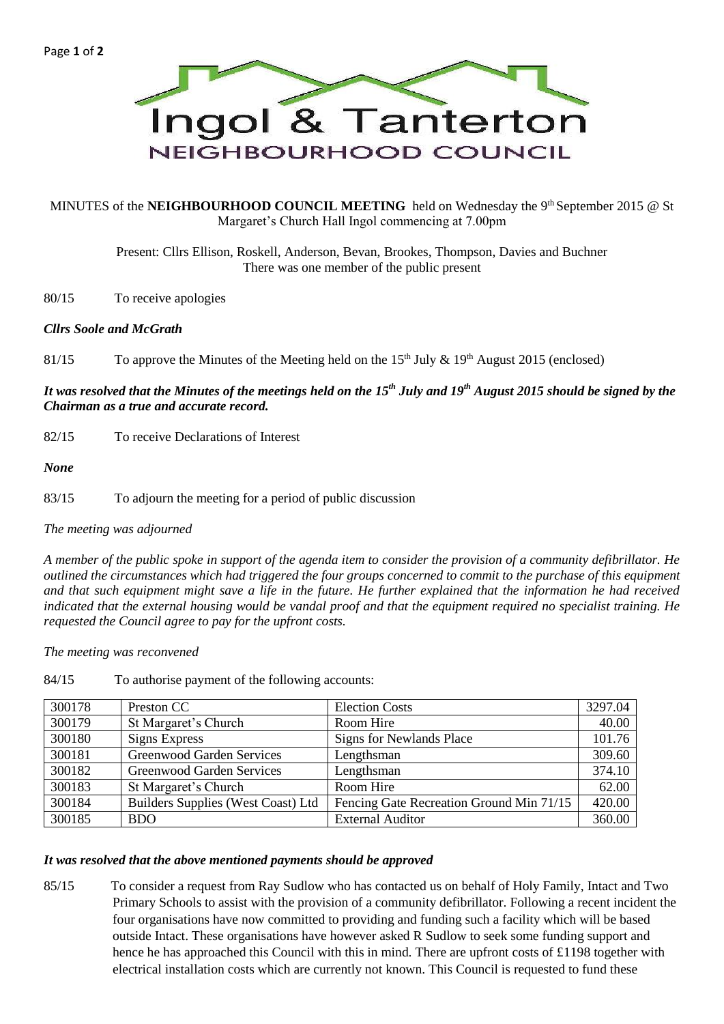

### MINUTES of the **NEIGHBOURHOOD COUNCIL MEETING** held on Wednesday the 9<sup>th</sup> September 2015 @ St Margaret's Church Hall Ingol commencing at 7.00pm

Present: Cllrs Ellison, Roskell, Anderson, Bevan, Brookes, Thompson, Davies and Buchner There was one member of the public present

80/15 To receive apologies

### *Cllrs Soole and McGrath*

81/15 To approve the Minutes of the Meeting held on the 15<sup>th</sup> July  $\&$  19<sup>th</sup> August 2015 (enclosed)

*It was resolved that the Minutes of the meetings held on the 15th July and 19th August 2015 should be signed by the Chairman as a true and accurate record.*

82/15 To receive Declarations of Interest

*None*

83/15 To adjourn the meeting for a period of public discussion

*The meeting was adjourned*

*A member of the public spoke in support of the agenda item to consider the provision of a community defibrillator. He outlined the circumstances which had triggered the four groups concerned to commit to the purchase of this equipment and that such equipment might save a life in the future. He further explained that the information he had received indicated that the external housing would be vandal proof and that the equipment required no specialist training. He requested the Council agree to pay for the upfront costs.*

*The meeting was reconvened*

| 300178 | Preston CC                                | <b>Election Costs</b>                    | 3297.04 |
|--------|-------------------------------------------|------------------------------------------|---------|
| 300179 | St Margaret's Church                      | Room Hire                                | 40.00   |
| 300180 | <b>Signs Express</b>                      | <b>Signs for Newlands Place</b>          | 101.76  |
| 300181 | Greenwood Garden Services                 | Lengthsman                               | 309.60  |
| 300182 | Greenwood Garden Services                 | Lengthsman                               | 374.10  |
| 300183 | St Margaret's Church                      | Room Hire                                | 62.00   |
| 300184 | <b>Builders Supplies (West Coast) Ltd</b> | Fencing Gate Recreation Ground Min 71/15 | 420.00  |
| 300185 | <b>BDO</b>                                | <b>External Auditor</b>                  | 360.00  |

84/15 To authorise payment of the following accounts:

#### *It was resolved that the above mentioned payments should be approved*

85/15 To consider a request from Ray Sudlow who has contacted us on behalf of Holy Family, Intact and Two Primary Schools to assist with the provision of a community defibrillator. Following a recent incident the four organisations have now committed to providing and funding such a facility which will be based outside Intact. These organisations have however asked R Sudlow to seek some funding support and hence he has approached this Council with this in mind. There are upfront costs of £1198 together with electrical installation costs which are currently not known. This Council is requested to fund these